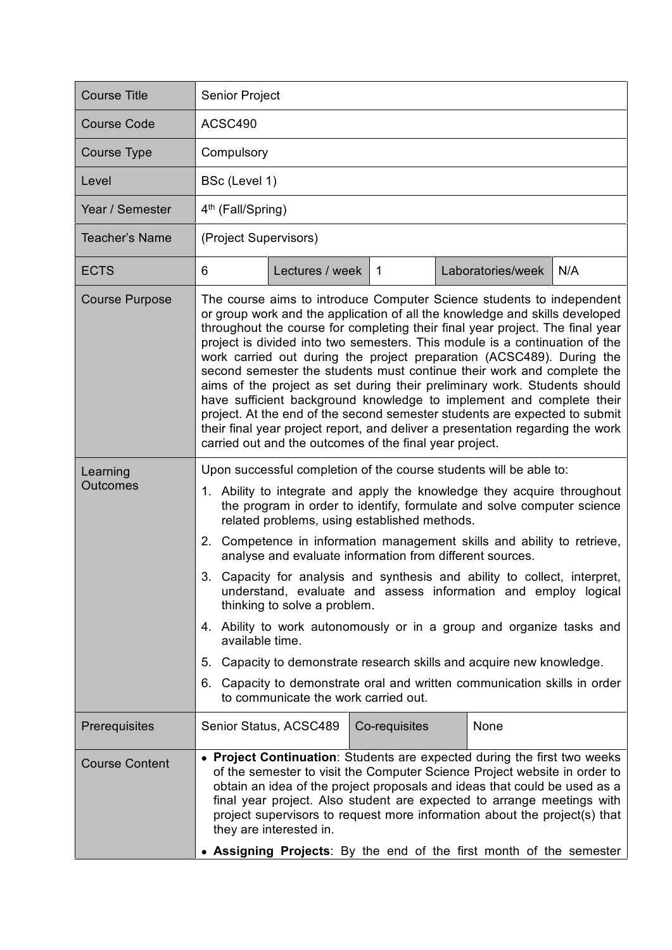| <b>Course Title</b>         | <b>Senior Project</b>                                                                                                                                                                                                                                                                                                                                                                                                                                                                                                                                                                                                                                                                                                                                                                                                                                                                  |
|-----------------------------|----------------------------------------------------------------------------------------------------------------------------------------------------------------------------------------------------------------------------------------------------------------------------------------------------------------------------------------------------------------------------------------------------------------------------------------------------------------------------------------------------------------------------------------------------------------------------------------------------------------------------------------------------------------------------------------------------------------------------------------------------------------------------------------------------------------------------------------------------------------------------------------|
| <b>Course Code</b>          | ACSC490                                                                                                                                                                                                                                                                                                                                                                                                                                                                                                                                                                                                                                                                                                                                                                                                                                                                                |
| <b>Course Type</b>          | Compulsory                                                                                                                                                                                                                                                                                                                                                                                                                                                                                                                                                                                                                                                                                                                                                                                                                                                                             |
| Level                       | BSc (Level 1)                                                                                                                                                                                                                                                                                                                                                                                                                                                                                                                                                                                                                                                                                                                                                                                                                                                                          |
| Year / Semester             | 4 <sup>th</sup> (Fall/Spring)                                                                                                                                                                                                                                                                                                                                                                                                                                                                                                                                                                                                                                                                                                                                                                                                                                                          |
| Teacher's Name              | (Project Supervisors)                                                                                                                                                                                                                                                                                                                                                                                                                                                                                                                                                                                                                                                                                                                                                                                                                                                                  |
| <b>ECTS</b>                 | N/A<br>Lectures / week<br>Laboratories/week<br>6<br>$\overline{1}$                                                                                                                                                                                                                                                                                                                                                                                                                                                                                                                                                                                                                                                                                                                                                                                                                     |
| <b>Course Purpose</b>       | The course aims to introduce Computer Science students to independent<br>or group work and the application of all the knowledge and skills developed<br>throughout the course for completing their final year project. The final year<br>project is divided into two semesters. This module is a continuation of the<br>work carried out during the project preparation (ACSC489). During the<br>second semester the students must continue their work and complete the<br>aims of the project as set during their preliminary work. Students should<br>have sufficient background knowledge to implement and complete their<br>project. At the end of the second semester students are expected to submit<br>their final year project report, and deliver a presentation regarding the work<br>carried out and the outcomes of the final year project.                                |
| Learning<br><b>Outcomes</b> | Upon successful completion of the course students will be able to:<br>1. Ability to integrate and apply the knowledge they acquire throughout<br>the program in order to identify, formulate and solve computer science<br>related problems, using established methods.<br>2. Competence in information management skills and ability to retrieve,<br>analyse and evaluate information from different sources.<br>3. Capacity for analysis and synthesis and ability to collect, interpret,<br>understand, evaluate and assess information and employ logical<br>thinking to solve a problem.<br>4. Ability to work autonomously or in a group and organize tasks and<br>available time.<br>5. Capacity to demonstrate research skills and acquire new knowledge.<br>6. Capacity to demonstrate oral and written communication skills in order<br>to communicate the work carried out. |
| Prerequisites               | Senior Status, ACSC489<br>None<br>Co-requisites                                                                                                                                                                                                                                                                                                                                                                                                                                                                                                                                                                                                                                                                                                                                                                                                                                        |
| <b>Course Content</b>       | • Project Continuation: Students are expected during the first two weeks<br>of the semester to visit the Computer Science Project website in order to<br>obtain an idea of the project proposals and ideas that could be used as a<br>final year project. Also student are expected to arrange meetings with<br>project supervisors to request more information about the project(s) that<br>they are interested in.<br>• Assigning Projects: By the end of the first month of the semester                                                                                                                                                                                                                                                                                                                                                                                            |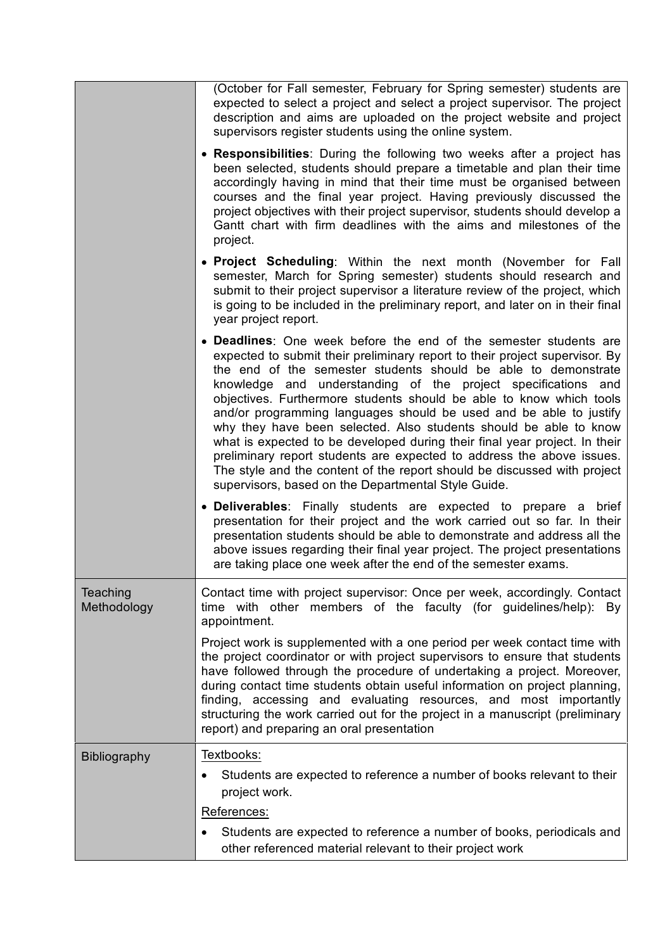|                         | (October for Fall semester, February for Spring semester) students are<br>expected to select a project and select a project supervisor. The project<br>description and aims are uploaded on the project website and project<br>supervisors register students using the online system.                                                                                                                                                                                                                                                                                                                                                                                                                                                                                                           |
|-------------------------|-------------------------------------------------------------------------------------------------------------------------------------------------------------------------------------------------------------------------------------------------------------------------------------------------------------------------------------------------------------------------------------------------------------------------------------------------------------------------------------------------------------------------------------------------------------------------------------------------------------------------------------------------------------------------------------------------------------------------------------------------------------------------------------------------|
|                         | • Responsibilities: During the following two weeks after a project has<br>been selected, students should prepare a timetable and plan their time<br>accordingly having in mind that their time must be organised between<br>courses and the final year project. Having previously discussed the<br>project objectives with their project supervisor, students should develop a<br>Gantt chart with firm deadlines with the aims and milestones of the<br>project.                                                                                                                                                                                                                                                                                                                               |
|                         | • Project Scheduling: Within the next month (November for Fall<br>semester, March for Spring semester) students should research and<br>submit to their project supervisor a literature review of the project, which<br>is going to be included in the preliminary report, and later on in their final<br>year project report.                                                                                                                                                                                                                                                                                                                                                                                                                                                                   |
|                         | • Deadlines: One week before the end of the semester students are<br>expected to submit their preliminary report to their project supervisor. By<br>the end of the semester students should be able to demonstrate<br>knowledge and understanding of the project specifications and<br>objectives. Furthermore students should be able to know which tools<br>and/or programming languages should be used and be able to justify<br>why they have been selected. Also students should be able to know<br>what is expected to be developed during their final year project. In their<br>preliminary report students are expected to address the above issues.<br>The style and the content of the report should be discussed with project<br>supervisors, based on the Departmental Style Guide. |
|                         | • Deliverables: Finally students are expected to prepare a brief<br>presentation for their project and the work carried out so far. In their<br>presentation students should be able to demonstrate and address all the<br>above issues regarding their final year project. The project presentations<br>are taking place one week after the end of the semester exams.                                                                                                                                                                                                                                                                                                                                                                                                                         |
| Teaching<br>Methodology | Contact time with project supervisor: Once per week, accordingly. Contact<br>time with other members of the faculty (for guidelines/help):<br>By<br>appointment.                                                                                                                                                                                                                                                                                                                                                                                                                                                                                                                                                                                                                                |
|                         | Project work is supplemented with a one period per week contact time with<br>the project coordinator or with project supervisors to ensure that students<br>have followed through the procedure of undertaking a project. Moreover,<br>during contact time students obtain useful information on project planning,<br>finding, accessing and evaluating resources, and most importantly<br>structuring the work carried out for the project in a manuscript (preliminary<br>report) and preparing an oral presentation                                                                                                                                                                                                                                                                          |
| <b>Bibliography</b>     | Textbooks:                                                                                                                                                                                                                                                                                                                                                                                                                                                                                                                                                                                                                                                                                                                                                                                      |
|                         | Students are expected to reference a number of books relevant to their<br>٠<br>project work.                                                                                                                                                                                                                                                                                                                                                                                                                                                                                                                                                                                                                                                                                                    |
|                         | References:                                                                                                                                                                                                                                                                                                                                                                                                                                                                                                                                                                                                                                                                                                                                                                                     |
|                         | Students are expected to reference a number of books, periodicals and<br>$\bullet$<br>other referenced material relevant to their project work                                                                                                                                                                                                                                                                                                                                                                                                                                                                                                                                                                                                                                                  |